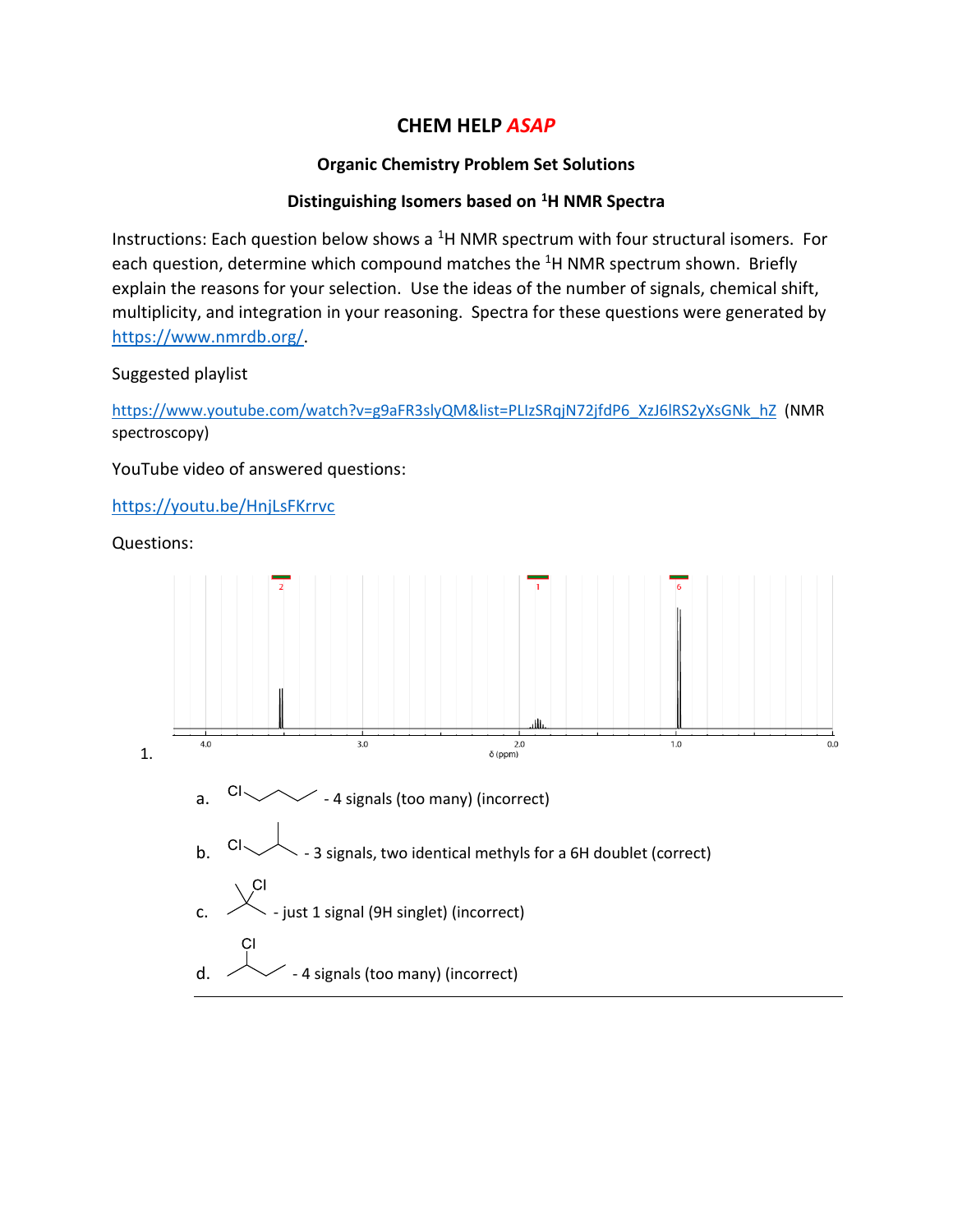## **CHEM HELP** *ASAP*

## **Organic Chemistry Problem Set Solutions**

## **Distinguishing Isomers based on <sup>1</sup>H NMR Spectra**

Instructions: Each question below shows a  $<sup>1</sup>H NMR$  spectrum with four structural isomers. For</sup> each question, determine which compound matches the <sup>1</sup>H NMR spectrum shown. Briefly explain the reasons for your selection. Use the ideas of the number of signals, chemical shift, multiplicity, and integration in your reasoning. Spectra for these questions were generated by [https://www.nmrdb.org/.](https://www.nmrdb.org/)

## Suggested playlist

[https://www.youtube.com/watch?v=g9aFR3slyQM&list=PLIzSRqjN72jfdP6\\_XzJ6lRS2yXsGNk\\_hZ](https://www.youtube.com/watch?v=g9aFR3slyQM&list=PLIzSRqjN72jfdP6_XzJ6lRS2yXsGNk_hZ) (NMR spectroscopy)

YouTube video of answered questions:

<https://youtu.be/HnjLsFKrrvc>

Questions:

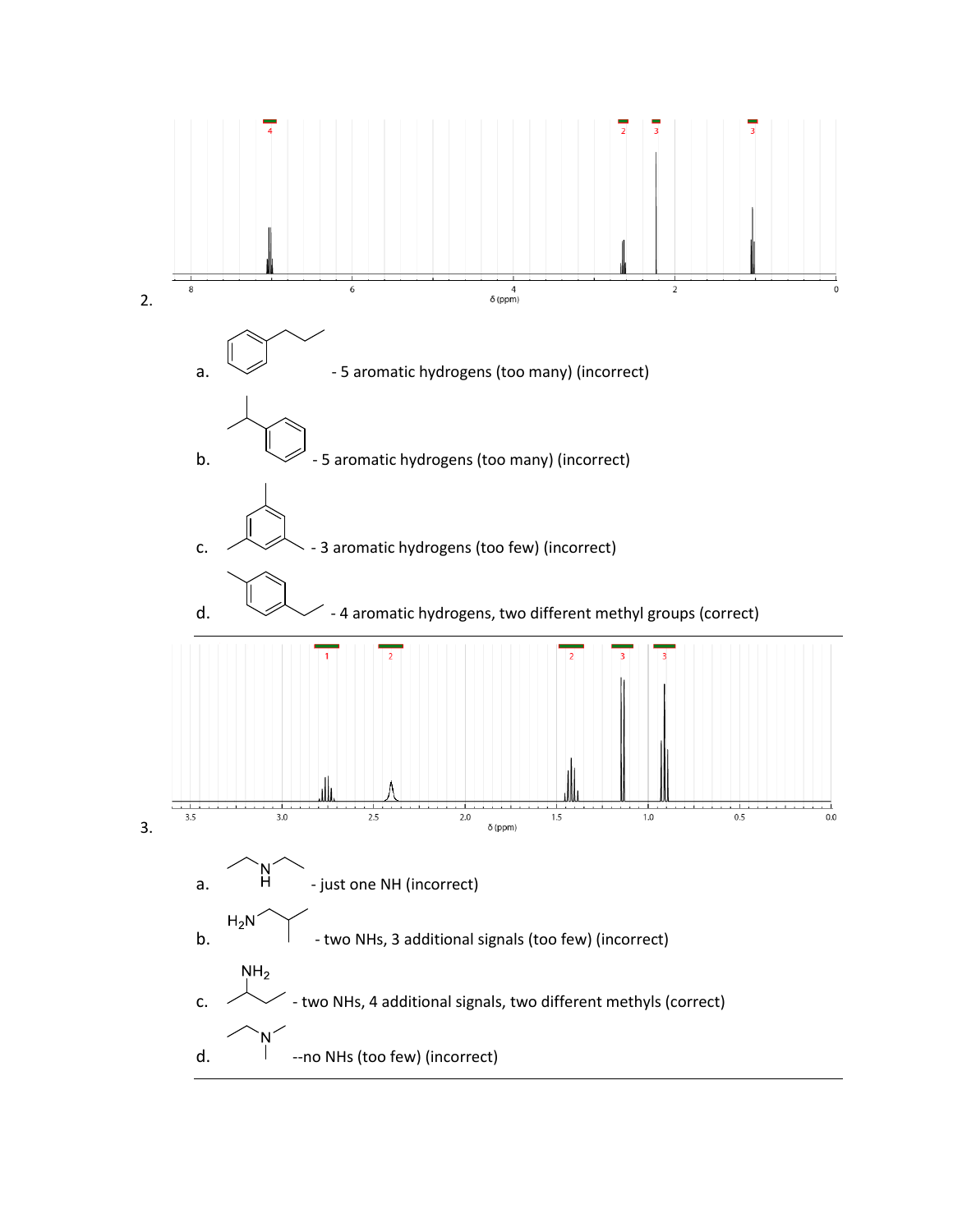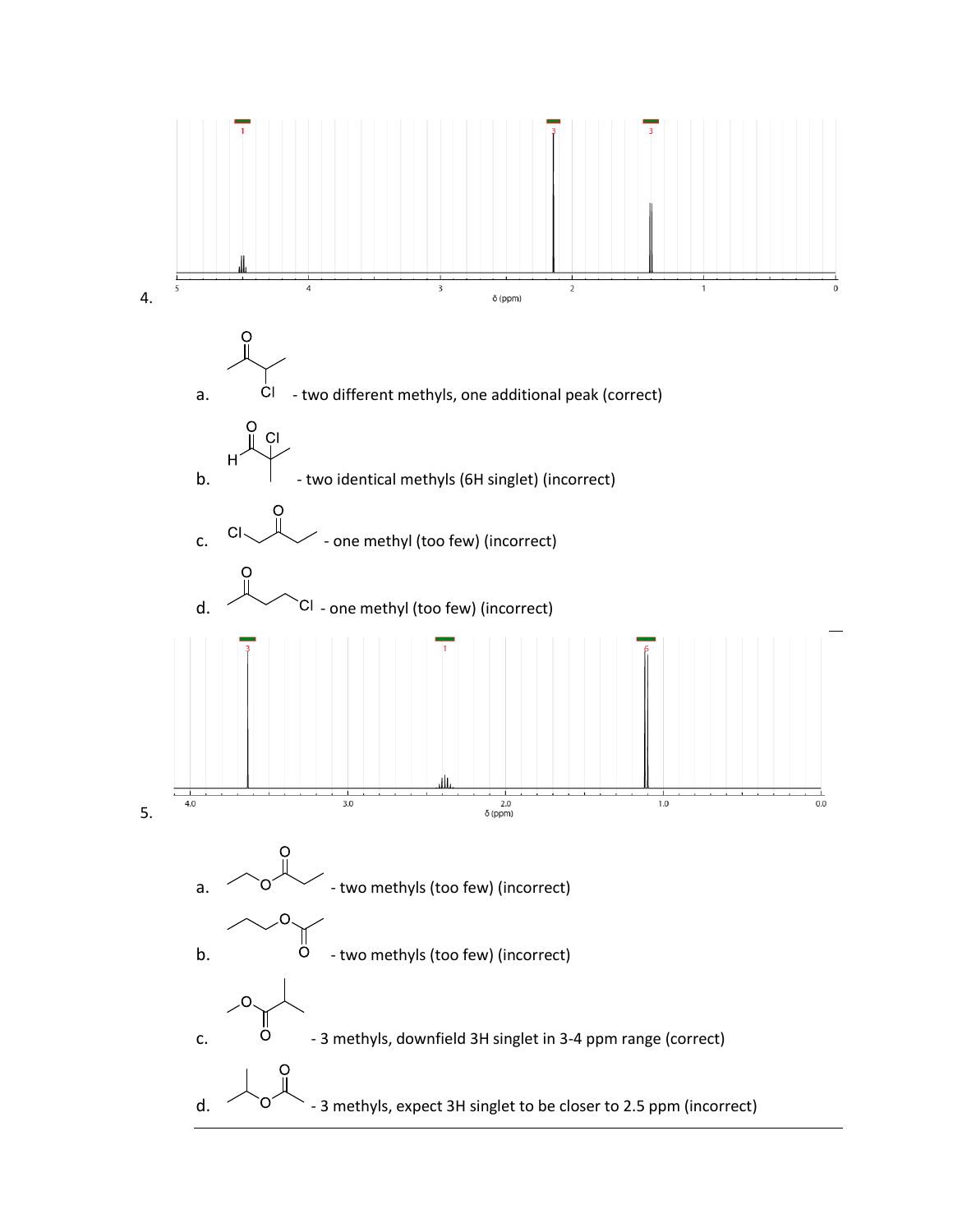